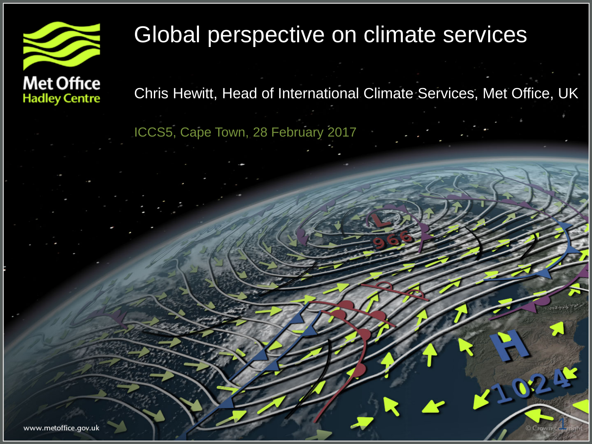

## Global perspective on climate services

**Met Office Hadley Centre** 

Chris Hewitt, Head of International Climate Services, Met Office, UK

1

**1024** 

ICCS5, Cape Town, 28 February 2017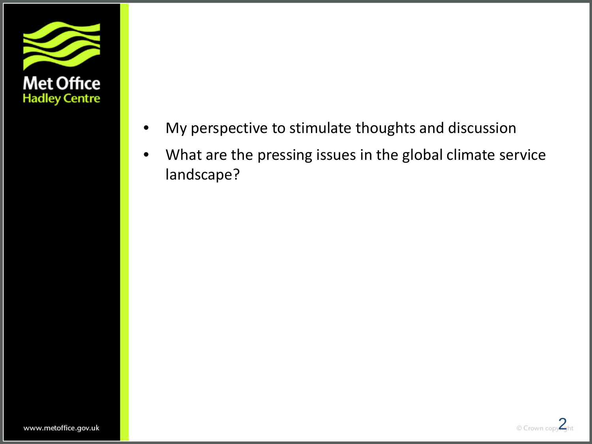

- My perspective to stimulate thoughts and discussion
- What are the pressing issues in the global climate service landscape?

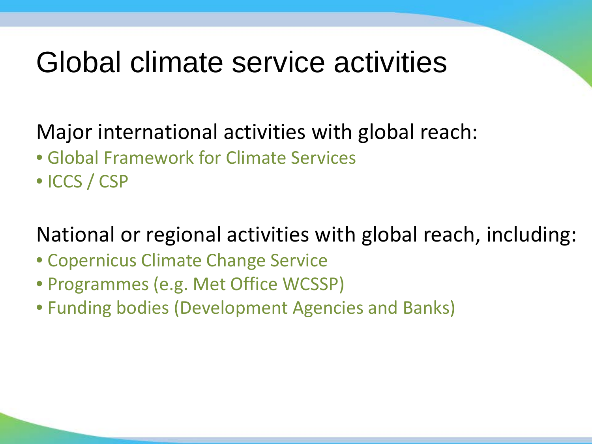# Global climate service activities

## Major international activities with global reach:

- Global Framework for Climate Services
- ICCS / CSP

## National or regional activities with global reach, including:

- Copernicus Climate Change Service
- Programmes (e.g. Met Office WCSSP)
- Funding bodies (Development Agencies and Banks)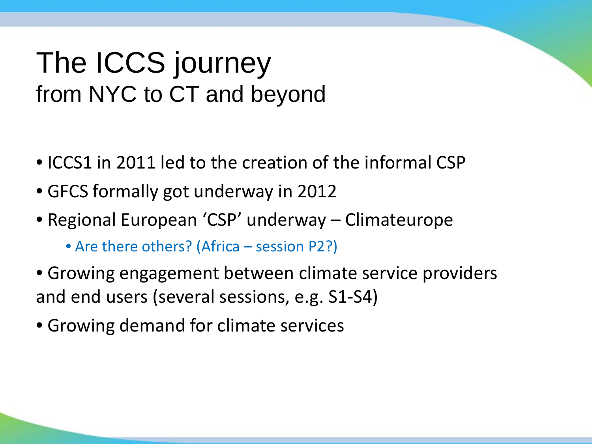## The ICCS journey from NYC to CT and beyond

- ICCS1 in 2011 led to the creation of the informal CSP
- GFCS formally got underway in 2012
- Regional European 'CSP' underway Climateurope
	- Are there others? (Africa session P2?)
- Growing engagement between climate service providers and end users (several sessions, e.g. S1-S4)
- Growing demand for climate services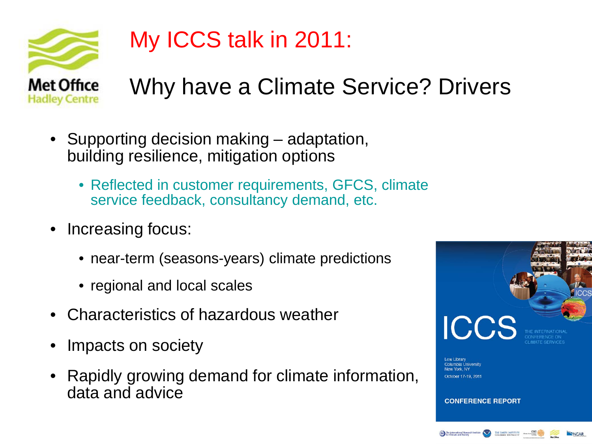

## My ICCS talk in 2011:

Why have a Climate Service? Drivers

- Supporting decision making adaptation, building resilience, mitigation options
	- Reflected in customer requirements, GFCS, climate service feedback, consultancy demand, etc.
- Increasing focus:
	- near-term (seasons-years) climate predictions
	- regional and local scales
- Characteristics of hazardous weather
- Impacts on society
- Rapidly growing demand for climate information, data and advice

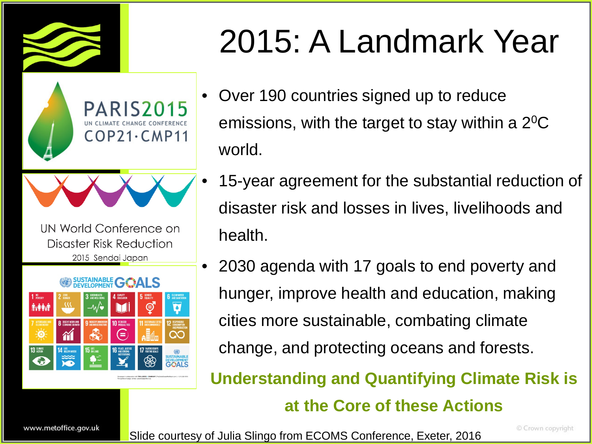



UN World Conference on Disaster Risk Reduction 2015 Sendai Japan



# 2015: A Landmark Year

- Over 190 countries signed up to reduce emissions, with the target to stay within a  $2^{0}C$ world.
- 15-year agreement for the substantial reduction of disaster risk and losses in lives, livelihoods and health.
- 2030 agenda with 17 goals to end poverty and hunger, improve health and education, making cities more sustainable, combating climate change, and protecting oceans and forests.

**Understanding and Quantifying Climate Risk is** 

#### **at the Core of these Actions**

www.metoffice.gov.uk

Slide courtesy of Julia Slingo from ECOMS Conference, Exeter, 2016

© Crown copyright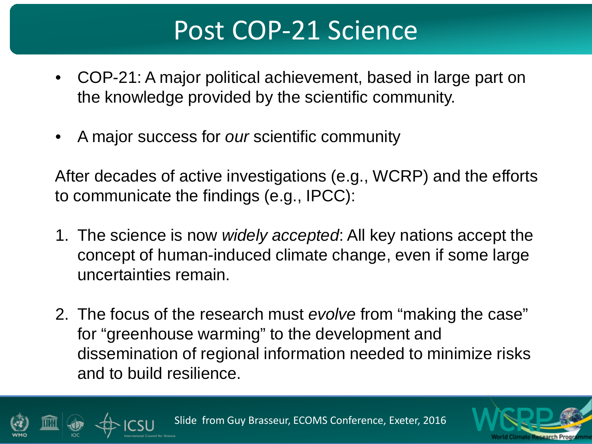## Post COP-21 Science

- COP-21: A major political achievement, based in large part on the knowledge provided by the scientific community.
- A major success for *our* scientific community

After decades of active investigations (e.g., WCRP) and the efforts to communicate the findings (e.g., IPCC):

- 1. The science is now *widely accepted*: All key nations accept the concept of human-induced climate change, even if some large uncertainties remain.
- 2. The focus of the research must *evolve* from "making the case" for "greenhouse warming" to the development and dissemination of regional information needed to minimize risks and to build resilience.

Slide from Guy Brasseur, ECOMS Conference, Exeter, 2016